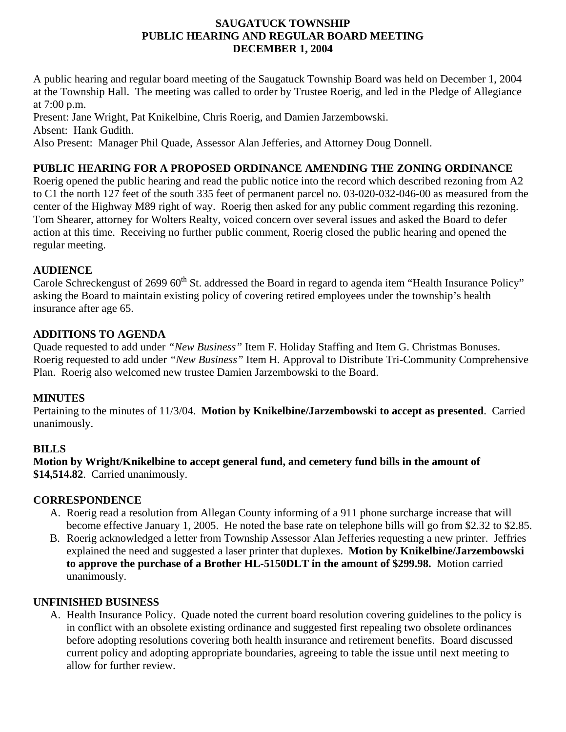## **SAUGATUCK TOWNSHIP PUBLIC HEARING AND REGULAR BOARD MEETING DECEMBER 1, 2004**

A public hearing and regular board meeting of the Saugatuck Township Board was held on December 1, 2004 at the Township Hall. The meeting was called to order by Trustee Roerig, and led in the Pledge of Allegiance at 7:00 p.m.

Present: Jane Wright, Pat Knikelbine, Chris Roerig, and Damien Jarzembowski. Absent: Hank Gudith.

Also Present: Manager Phil Quade, Assessor Alan Jefferies, and Attorney Doug Donnell.

# **PUBLIC HEARING FOR A PROPOSED ORDINANCE AMENDING THE ZONING ORDINANCE**

Roerig opened the public hearing and read the public notice into the record which described rezoning from A2 to C1 the north 127 feet of the south 335 feet of permanent parcel no. 03-020-032-046-00 as measured from the center of the Highway M89 right of way. Roerig then asked for any public comment regarding this rezoning. Tom Shearer, attorney for Wolters Realty, voiced concern over several issues and asked the Board to defer action at this time. Receiving no further public comment, Roerig closed the public hearing and opened the regular meeting.

## **AUDIENCE**

Carole Schreckengust of 2699 60<sup>th</sup> St. addressed the Board in regard to agenda item "Health Insurance Policy" asking the Board to maintain existing policy of covering retired employees under the township's health insurance after age 65.

## **ADDITIONS TO AGENDA**

Quade requested to add under *"New Business"* Item F. Holiday Staffing and Item G. Christmas Bonuses. Roerig requested to add under *"New Business"* Item H. Approval to Distribute Tri-Community Comprehensive Plan. Roerig also welcomed new trustee Damien Jarzembowski to the Board.

#### **MINUTES**

Pertaining to the minutes of 11/3/04. **Motion by Knikelbine/Jarzembowski to accept as presented**. Carried unanimously.

## **BILLS**

**Motion by Wright/Knikelbine to accept general fund, and cemetery fund bills in the amount of \$14,514.82**. Carried unanimously.

#### **CORRESPONDENCE**

- A. Roerig read a resolution from Allegan County informing of a 911 phone surcharge increase that will become effective January 1, 2005. He noted the base rate on telephone bills will go from \$2.32 to \$2.85.
- B. Roerig acknowledged a letter from Township Assessor Alan Jefferies requesting a new printer. Jeffries explained the need and suggested a laser printer that duplexes. **Motion by Knikelbine/Jarzembowski to approve the purchase of a Brother HL-5150DLT in the amount of \$299.98.** Motion carried unanimously.

#### **UNFINISHED BUSINESS**

A. Health Insurance Policy. Quade noted the current board resolution covering guidelines to the policy is in conflict with an obsolete existing ordinance and suggested first repealing two obsolete ordinances before adopting resolutions covering both health insurance and retirement benefits. Board discussed current policy and adopting appropriate boundaries, agreeing to table the issue until next meeting to allow for further review.